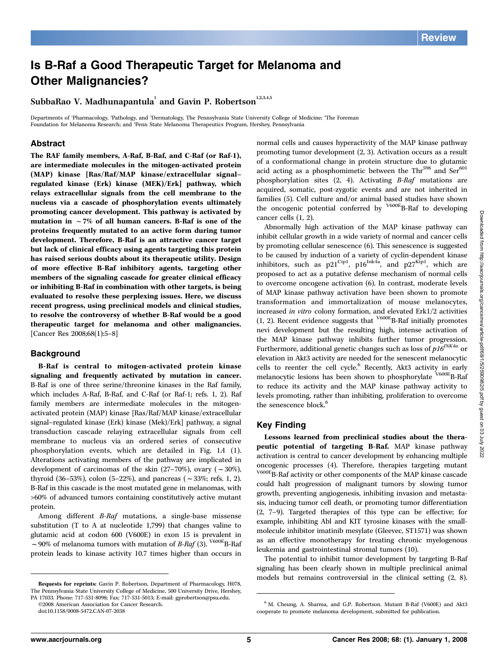# Is B-Raf a Good Therapeutic Target for Melanoma and Other Malignancies?

SubbaRao V. Madhunapantula<sup>1</sup> and Gavin P. Robertson<sup>1,2,3,4,5</sup>

Departments of 'Pharmacology, 'Pathology, and 'Dermatology, The Pennsylvania State University College of Medicine; "The Foreman Foundation for Melanoma Research; and <sup>5</sup>Penn State Melanoma Therapeutics Program, Hershey, Pennsylvania

## Abstract

The RAF family members, A-Raf, B-Raf, and C-Raf (or Raf-1), are intermediate molecules in the mitogen-activated protein (MAP) kinase [Ras/Raf/MAP kinase/extracellular signal– regulated kinase (Erk) kinase (MEK)/Erk] pathway, which relays extracellular signals from the cell membrane to the nucleus via a cascade of phosphorylation events ultimately promoting cancer development. This pathway is activated by mutation in  $\sim$  7% of all human cancers. B-Raf is one of the proteins frequently mutated to an active form during tumor development. Therefore, B-Raf is an attractive cancer target but lack of clinical efficacy using agents targeting this protein has raised serious doubts about its therapeutic utility. Design of more effective B-Raf inhibitory agents, targeting other members of the signaling cascade for greater clinical efficacy or inhibiting B-Raf in combination with other targets, is being evaluated to resolve these perplexing issues. Here, we discuss recent progress, using preclinical models and clinical studies, to resolve the controversy of whether B-Raf would be a good therapeutic target for melanoma and other malignancies. [Cancer Res 2008;68(1):5–8]

#### **Background**

B-Raf is central to mitogen-activated protein kinase signaling and frequently activated by mutation in cancer. B-Raf is one of three serine/threonine kinases in the Raf family, which includes A-Raf, B-Raf, and C-Raf (or Raf-1; refs. 1, 2). Raf family members are intermediate molecules in the mitogenactivated protein (MAP) kinase [Ras/Raf/MAP kinase/extracellular signal–regulated kinase (Erk) kinase (Mek)/Erk] pathway, a signal transduction cascade relaying extracellular signals from cell membrane to nucleus via an ordered series of consecutive phosphorylation events, which are detailed in Fig. 1A (1). Alterations activating members of the pathway are implicated in development of carcinomas of the skin (27–70%), ovary ( $\sim$ 30%), thyroid (36–53%), colon (5–22%), and pancreas ( $\sim$ 33%; refs. 1, 2). B-Raf in this cascade is the most mutated gene in melanomas, with >60% of advanced tumors containing constitutively active mutant protein.

Among different B-Raf mutations, a single-base missense substitution (T to A at nucleotide 1,799) that changes valine to glutamic acid at codon 600 (V600E) in exon 15 is prevalent in  $\sim$  90% of melanoma tumors with mutation of *B-Raf* (3). <sup>V600E</sup>B-Raf protein leads to kinase activity 10.7 times higher than occurs in

The Pennsylvania State University College of Medicine, 500 University Drive, Hershey, PA 17033. Phone: 717-531-8098; Fax: 717-531-5013; E-mail: gprobertson@psu.edu.

©2008 American Association for Cancer Research.

normal cells and causes hyperactivity of the MAP kinase pathway promoting tumor development (2, 3). Activation occurs as a result of a conformational change in protein structure due to glutamic acid acting as a phosphomimetic between the  $Thr<sup>598</sup>$  and  $Ser<sup>601</sup>$ phosphorylation sites (2, 4). Activating B-Raf mutations are acquired, somatic, post-zygotic events and are not inherited in families (5). Cell culture and/or animal based studies have shown the oncogenic potential conferred by <sup>V600E</sup>B-Raf to developing cancer cells (1, 2).

Abnormally high activation of the MAP kinase pathway can inhibit cellular growth in a wide variety of normal and cancer cells by promoting cellular senescence (6). This senescence is suggested to be caused by induction of a variety of cyclin-dependent kinase inhibitors, such as  $p21^{\text{Cip1}}$ ,  $p16^{\text{Ink4a}}$ , and  $p27^{\text{Kip1}}$ , which are proposed to act as a putative defense mechanism of normal cells to overcome oncogene activation (6). In contrast, moderate levels of MAP kinase pathway activation have been shown to promote transformation and immortalization of mouse melanocytes, increased in vitro colony formation, and elevated Erk1/2 activities (1, 2). Recent evidence suggests that  $V^{600E}$ B-Raf initially promotes nevi development but the resulting high, intense activation of the MAP kinase pathway inhibits further tumor progression. Furthermore, additional genetic changes such as loss of  $p16^{INK4a}$  or elevation in Akt3 activity are needed for the senescent melanocytic cells to reenter the cell cycle.<sup>6</sup> Recently, Akt3 activity in early melanocytic lesions has been shown to phosphorylate V600EB-Raf to reduce its activity and the MAP kinase pathway activity to levels promoting, rather than inhibiting, proliferation to overcome the senescence block.<sup>6</sup>

#### Key Finding

Lessons learned from preclinical studies about the therapeutic potential of targeting B-Raf. MAP kinase pathway activation is central to cancer development by enhancing multiple oncogenic processes (4). Therefore, therapies targeting mutant V600EB-Raf activity or other components of the MAP kinase cascade could halt progression of malignant tumors by slowing tumor growth, preventing angiogenesis, inhibiting invasion and metasta-

sis, inducing tumor cell death, or promoting tumor differentiation (2, 7–9). Targeted therapies of this type can be effective; for example, inhibiting Abl and KIT tyrosine kinases with the smallmolecule inhibitor imatinib mesylate (Gleevec, ST1571) was shown as an effective monotherapy for treating chronic myelogenous leukemia and gastrointestinal stromal tumors (10).

The potential to inhibit tumor development by targeting B-Raf signaling has been clearly shown in multiple preclinical animal models but remains controversial in the clinical setting (2, 8).<br>Requests for reprints: Gavin P. Robertson, Department of Pharmacology, H078,

doi:10.1158/0008-5472.CAN-07-2038

<sup>6</sup> M. Cheung, A. Sharma, and G.P. Robertson. Mutant B-Raf (V600E) and Akt3 cooperate to promote melanoma development, submitted for publication.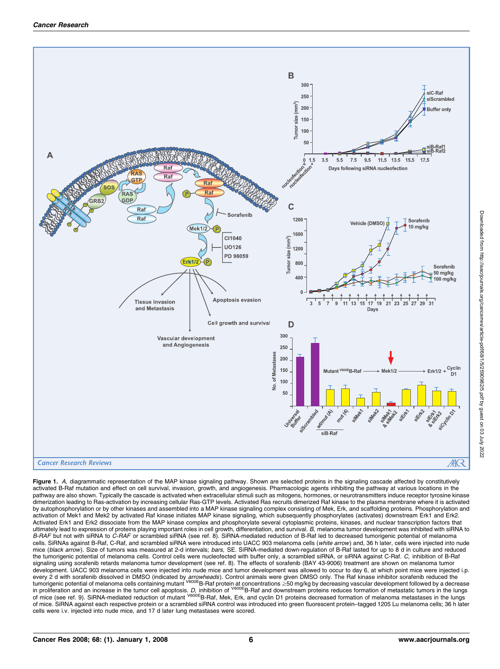

Figure 1. A, diagrammatic representation of the MAP kinase signaling pathway. Shown are selected proteins in the signaling cascade affected by constitutively activated B-Raf mutation and effect on cell survival, invasion, growth, and angiogenesis. Pharmacologic agents inhibiting the pathway at various locations in the pathway are also shown. Typically the cascade is activated when extracellular stimuli such as mitogens, hormones, or neurotransmitters induce receptor tyrosine kinase dimerization leading to Ras-activation by increasing cellular Ras-GTP levels. Activated Ras recruits dimerized Raf kinase to the plasma membrane where it is activated by autophosphorylation or by other kinases and assembled into a MAP kinase signaling complex consisting of Mek, Erk, and scaffolding proteins. Phosphorylation and activation of Mek1 and Mek2 by activated Raf kinase initiates MAP kinase signaling, which subsequently phosphorylates (activates) downstream Erk1 and Erk2. Activated Erk1 and Erk2 dissociate from the MAP kinase complex and phosphorylate several cytoplasmic proteins, kinases, and nuclear transcription factors that<br>ultimately lead to expression of proteins playing important rol B-RAF but not with siRNA to C-RAF or scrambled siRNA (see ref. 8). SiRNA-mediated reduction of B-Raf led to decreased tumorigenic potential of melanoma cells. SiRNAs against B-Raf, C-Raf, and scrambled siRNA were introduced into UACC 903 melanoma cells (white arrow) and, 36 h later, cells were injected into nude mice (black arrow). Size of tumors was measured at 2-d intervals; bars, SE. SiRNA-mediated down-regulation of B-Raf lasted for up to 8 d in culture and reduced the tumorigenic potential of melanoma cells. Control cells were nucleofected with buffer only, a scrambled siRNA, or siRNA against C-Raf. C, inhibition of B-Raf signaling using sorafenib retards melanoma tumor development (see ref. 8). The effects of sorafenib (BAY 43-9006) treatment are shown on melanoma tumor development. UACC 903 melanoma cells were injected into nude mice and tumor development was allowed to occur to day 6, at which point mice were injected i.p. every 2 d with sorafenib dissolved in DMSO (indicated by *arrowheads*). Control animals were given DMSO only. The Raf kinase inhibitor sorafenib reduced the<br>tumorigenic potential of melanoma cells containing mutant <sup>V600E</sup> of mice. SiRNA against each respective protein or a scrambled siRNA control was introduced into green fluorescent protein–tagged 1205 Lu melanoma cells; 36 h later cells were i.v. injected into nude mice, and 17 d later lung metastases were scored.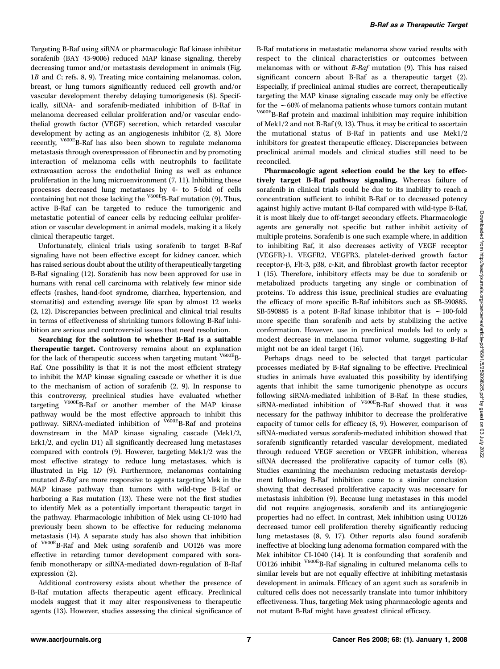Targeting B-Raf using siRNA or pharmacologic Raf kinase inhibitor sorafenib (BAY 43-9006) reduced MAP kinase signaling, thereby decreasing tumor and/or metastasis development in animals (Fig. 1B and C; refs. 8, 9). Treating mice containing melanomas, colon, breast, or lung tumors significantly reduced cell growth and/or vascular development thereby delaying tumorigenesis (8). Specifically, siRNA- and sorafenib-mediated inhibition of B-Raf in melanoma decreased cellular proliferation and/or vascular endothelial growth factor (VEGF) secretion, which retarded vascular development by acting as an angiogenesis inhibitor (2, 8). More recently, V600EB-Raf has also been shown to regulate melanoma metastasis through overexpression of fibronectin and by promoting interaction of melanoma cells with neutrophils to facilitate extravasation across the endothelial lining as well as enhance proliferation in the lung microenvironment (7, 11). Inhibiting these processes decreased lung metastases by 4- to 5-fold of cells containing but not those lacking the  $\overline{V}^{600E}$ B-Raf mutation (9). Thus, active B-Raf can be targeted to reduce the tumorigenic and metastatic potential of cancer cells by reducing cellular proliferation or vascular development in animal models, making it a likely clinical therapeutic target.

Unfortunately, clinical trials using sorafenib to target B-Raf signaling have not been effective except for kidney cancer, which has raised serious doubt about the utility of therapeutically targeting B-Raf signaling (12). Sorafenib has now been approved for use in humans with renal cell carcinoma with relatively few minor side effects (rashes, hand-foot syndrome, diarrhea, hypertension, and stomatitis) and extending average life span by almost 12 weeks (2, 12). Discrepancies between preclinical and clinical trial results in terms of effectiveness of shrinking tumors following B-Raf inhibition are serious and controversial issues that need resolution.

Searching for the solution to whether B-Raf is a suitable therapeutic target. Controversy remains about an explanation for the lack of therapeutic success when targeting mutant  $V^{600E}B$ -Raf. One possibility is that it is not the most efficient strategy to inhibit the MAP kinase signaling cascade or whether it is due to the mechanism of action of sorafenib (2, 9). In response to this controversy, preclinical studies have evaluated whether targeting V600EB-Raf or another member of the MAP kinase pathway would be the most effective approach to inhibit this pathway. SiRNA-mediated inhibition of  $V600E$ B-Raf and proteins downstream in the MAP kinase signaling cascade (Mek1/2, Erk1/2, and cyclin D1) all significantly decreased lung metastases compared with controls (9). However, targeting Mek1/2 was the most effective strategy to reduce lung metastases, which is illustrated in Fig. 1D (9). Furthermore, melanomas containing mutated B-Raf are more responsive to agents targeting Mek in the MAP kinase pathway than tumors with wild-type B-Raf or harboring a Ras mutation (13). These were not the first studies to identify Mek as a potentially important therapeutic target in the pathway. Pharmacologic inhibition of Mek using CI-1040 had previously been shown to be effective for reducing melanoma metastasis (14). A separate study has also shown that inhibition of V600EB-Raf and Mek using sorafenib and UO126 was more effective in retarding tumor development compared with sorafenib monotherapy or siRNA-mediated down-regulation of B-Raf expression (2).

Additional controversy exists about whether the presence of B-Raf mutation affects therapeutic agent efficacy. Preclinical models suggest that it may alter responsiveness to therapeutic agents (13). However, studies assessing the clinical significance of B-Raf mutations in metastatic melanoma show varied results with respect to the clinical characteristics or outcomes between melanomas with or without B-Raf mutation (9). This has raised significant concern about B-Raf as a therapeutic target (2). Especially, if preclinical animal studies are correct, therapeutically targeting the MAP kinase signaling cascade may only be effective for the  $\sim 60\%$  of melanoma patients whose tumors contain mutant  $V^{600E}$ B-Raf protein and maximal inhibition may require inhibition of Mek1/2 and not B-Raf (9, 13). Thus, it may be critical to ascertain the mutational status of B-Raf in patients and use Mek1/2 inhibitors for greatest therapeutic efficacy. Discrepancies between preclinical animal models and clinical studies still need to be reconciled.

Pharmacologic agent selection could be the key to effectively target B-Raf pathway signaling. Whereas failure of sorafenib in clinical trials could be due to its inability to reach a concentration sufficient to inhibit B-Raf or to decreased potency against highly active mutant B-Raf compared with wild-type B-Raf, it is most likely due to off-target secondary effects. Pharmacologic agents are generally not specific but rather inhibit activity of multiple proteins. Sorafenib is one such example where, in addition to inhibiting Raf, it also decreases activity of VEGF receptor (VEGFR)-1, VEGFR2, VEGFR3, platelet-derived growth factor receptor-β, Flt-3, p38, c-Kit, and fibroblast growth factor receptor 1 (15). Therefore, inhibitory effects may be due to sorafenib or metabolized products targeting any single or combination of proteins. To address this issue, preclinical studies are evaluating the efficacy of more specific B-Raf inhibitors such as SB-590885. SB-590885 is a potent B-Raf kinase inhibitor that is  $\sim$  100-fold more specific than sorafenib and acts by stabilizing the active conformation. However, use in preclinical models led to only a modest decrease in melanoma tumor volume, suggesting B-Raf might not be an ideal target (16).

Perhaps drugs need to be selected that target particular processes mediated by B-Raf signaling to be effective. Preclinical studies in animals have evaluated this possibility by identifying agents that inhibit the same tumorigenic phenotype as occurs following siRNA-mediated inhibition of B-Raf. In these studies, siRNA-mediated inhibition of <sup>V600E</sup>B-Raf showed that it was necessary for the pathway inhibitor to decrease the proliferative capacity of tumor cells for efficacy (8, 9). However, comparison of siRNA-mediated versus sorafenib-mediated inhibition showed that sorafenib significantly retarded vascular development, mediated through reduced VEGF secretion or VEGFR inhibition, whereas siRNA decreased the proliferative capacity of tumor cells (8). Studies examining the mechanism reducing metastasis development following B-Raf inhibition came to a similar conclusion showing that decreased proliferative capacity was necessary for metastasis inhibition (9). Because lung metastases in this model did not require angiogenesis, sorafenib and its antiangiogenic properties had no effect. In contrast, Mek inhibition using UO126 decreased tumor cell proliferation thereby significantly reducing lung metastases (8, 9, 17). Other reports also found sorafenib ineffective at blocking lung adenoma formation compared with the Mek inhibitor CI-1040 (14). It is confounding that sorafenib and UO126 inhibit <sup>V600E</sup>B-Raf signaling in cultured melanoma cells to similar levels but are not equally effective at inhibiting metastasis development in animals. Efficacy of an agent such as sorafenib in cultured cells does not necessarily translate into tumor inhibitory effectiveness. Thus, targeting Mek using pharmacologic agents and not mutant B-Raf might have greatest clinical efficacy.